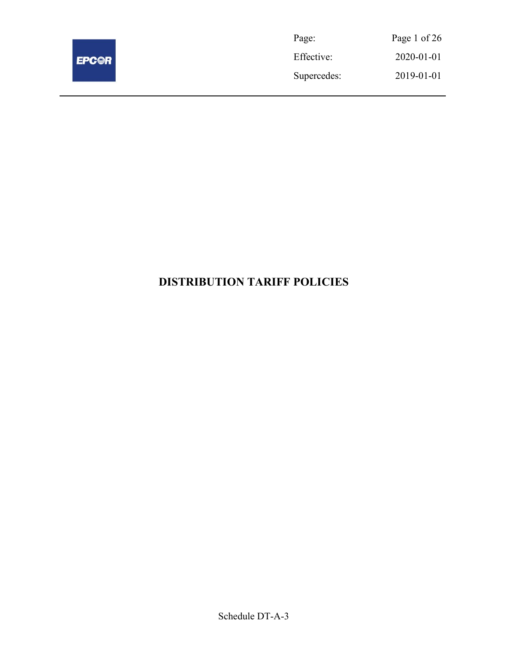

| Page:       | Page 1 of 26 |
|-------------|--------------|
| Effective:  | 2020-01-01   |
| Supercedes: | 2019-01-01   |

# DISTRIBUTION TARIFF POLICIES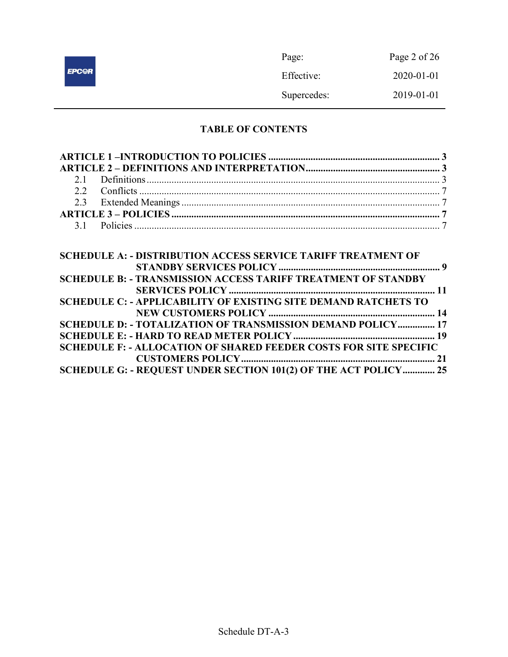|              | Page:       | Page 2 of 26 |
|--------------|-------------|--------------|
| <b>EPC@R</b> | Effective:  | 2020-01-01   |
|              | Supercedes: | 2019-01-01   |

# TABLE OF CONTENTS

| <b>SCHEDULE A: - DISTRIBUTION ACCESS SERVICE TARIFF TREATMENT OF</b>     |  |
|--------------------------------------------------------------------------|--|
|                                                                          |  |
| <b>SCHEDULE B: - TRANSMISSION ACCESS TARIFF TREATMENT OF STANDBY</b>     |  |
|                                                                          |  |
| <b>SCHEDULE C: - APPLICABILITY OF EXISTING SITE DEMAND RATCHETS TO</b>   |  |
|                                                                          |  |
| SCHEDULE D: - TOTALIZATION OF TRANSMISSION DEMAND POLICY 17              |  |
|                                                                          |  |
| <b>SCHEDULE F: - ALLOCATION OF SHARED FEEDER COSTS FOR SITE SPECIFIC</b> |  |
|                                                                          |  |
| SCHEDULE G: - REQUEST UNDER SECTION 101(2) OF THE ACT POLICY 25          |  |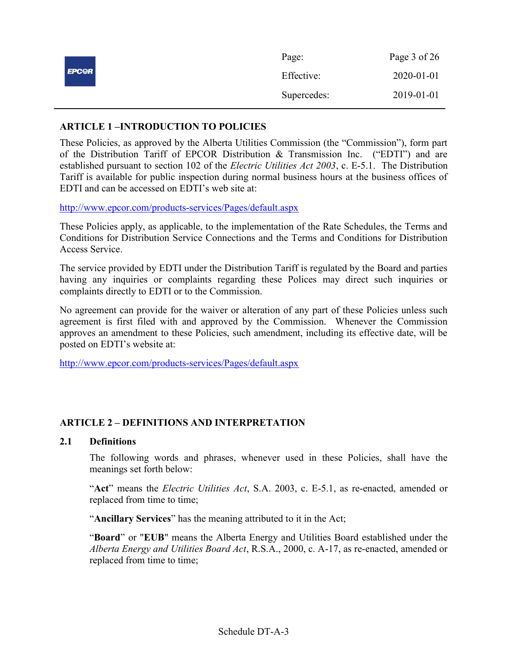|              | Page:       | Page 3 of 26 |
|--------------|-------------|--------------|
| <b>EPC@R</b> | Effective:  | 2020-01-01   |
|              | Supercedes: | 2019-01-01   |

# ARTICLE 1 –INTRODUCTION TO POLICIES

These Policies, as approved by the Alberta Utilities Commission (the "Commission"), form part of the Distribution Tariff of EPCOR Distribution & Transmission Inc. ("EDTI") and are established pursuant to section 102 of the Electric Utilities Act 2003, c. E-5.1. The Distribution Tariff is available for public inspection during normal business hours at the business offices of EDTI and can be accessed on EDTI's web site at:

http://www.epcor.com/products-services/Pages/default.aspx

These Policies apply, as applicable, to the implementation of the Rate Schedules, the Terms and Conditions for Distribution Service Connections and the Terms and Conditions for Distribution Access Service.

The service provided by EDTI under the Distribution Tariff is regulated by the Board and parties having any inquiries or complaints regarding these Polices may direct such inquiries or complaints directly to EDTI or to the Commission.

No agreement can provide for the waiver or alteration of any part of these Policies unless such agreement is first filed with and approved by the Commission. Whenever the Commission approves an amendment to these Policies, such amendment, including its effective date, will be posted on EDTI's website at:

http://www.epcor.com/products-services/Pages/default.aspx

# ARTICLE 2 – DEFINITIONS AND INTERPRETATION

#### 2.1 Definitions

The following words and phrases, whenever used in these Policies, shall have the meanings set forth below:

"Act" means the *Electric Utilities Act*, S.A. 2003, c. E-5.1, as re-enacted, amended or replaced from time to time;

"Ancillary Services" has the meaning attributed to it in the Act;

"Board" or "EUB" means the Alberta Energy and Utilities Board established under the Alberta Energy and Utilities Board Act, R.S.A., 2000, c. A-17, as re-enacted, amended or replaced from time to time;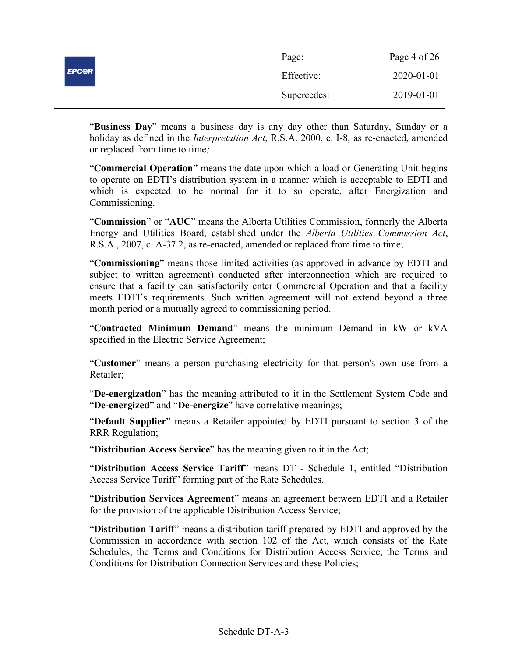|              | Page:       | Page 4 of 26 |
|--------------|-------------|--------------|
| <b>EPCOR</b> | Effective:  | 2020-01-01   |
|              | Supercedes: | 2019-01-01   |

"Business Day" means a business day is any day other than Saturday, Sunday or a holiday as defined in the *Interpretation Act*, R.S.A. 2000, c. I-8, as re-enacted, amended or replaced from time to time;

"Commercial Operation" means the date upon which a load or Generating Unit begins to operate on EDTI's distribution system in a manner which is acceptable to EDTI and which is expected to be normal for it to so operate, after Energization and Commissioning.

"Commission" or "AUC" means the Alberta Utilities Commission, formerly the Alberta Energy and Utilities Board, established under the Alberta Utilities Commission Act, R.S.A., 2007, c. A-37.2, as re-enacted, amended or replaced from time to time;

"Commissioning" means those limited activities (as approved in advance by EDTI and subject to written agreement) conducted after interconnection which are required to ensure that a facility can satisfactorily enter Commercial Operation and that a facility meets EDTI's requirements. Such written agreement will not extend beyond a three month period or a mutually agreed to commissioning period.

"Contracted Minimum Demand" means the minimum Demand in kW or kVA specified in the Electric Service Agreement;

"Customer" means a person purchasing electricity for that person's own use from a Retailer;

"De-energization" has the meaning attributed to it in the Settlement System Code and "De-energized" and "De-energize" have correlative meanings;

"Default Supplier" means a Retailer appointed by EDTI pursuant to section 3 of the RRR Regulation;

"Distribution Access Service" has the meaning given to it in the Act;

"Distribution Access Service Tariff" means DT - Schedule 1, entitled "Distribution Access Service Tariff" forming part of the Rate Schedules.

"Distribution Services Agreement" means an agreement between EDTI and a Retailer for the provision of the applicable Distribution Access Service;

"Distribution Tariff" means a distribution tariff prepared by EDTI and approved by the Commission in accordance with section 102 of the Act, which consists of the Rate Schedules, the Terms and Conditions for Distribution Access Service, the Terms and Conditions for Distribution Connection Services and these Policies;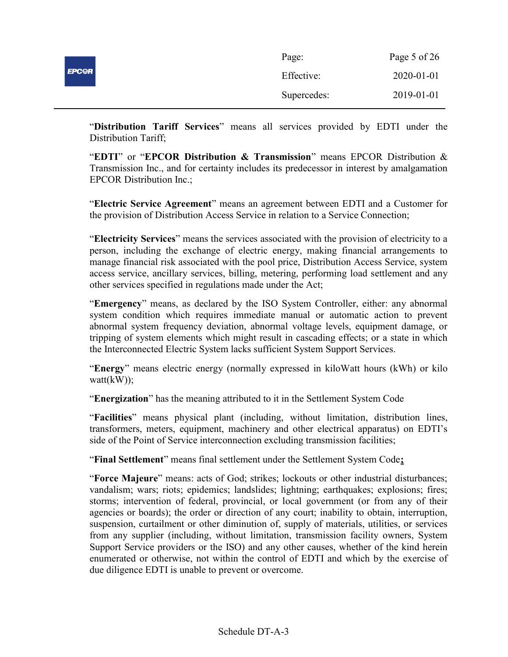|              | Page:       | Page 5 of 26 |
|--------------|-------------|--------------|
| <b>EPCOR</b> | Effective:  | 2020-01-01   |
|              | Supercedes: | 2019-01-01   |

"Distribution Tariff Services" means all services provided by EDTI under the Distribution Tariff;

"EDTI" or "EPCOR Distribution  $\&$  Transmission" means EPCOR Distribution  $\&$ Transmission Inc., and for certainty includes its predecessor in interest by amalgamation EPCOR Distribution Inc.;

"Electric Service Agreement" means an agreement between EDTI and a Customer for the provision of Distribution Access Service in relation to a Service Connection;

"Electricity Services" means the services associated with the provision of electricity to a person, including the exchange of electric energy, making financial arrangements to manage financial risk associated with the pool price, Distribution Access Service, system access service, ancillary services, billing, metering, performing load settlement and any other services specified in regulations made under the Act;

"Emergency" means, as declared by the ISO System Controller, either: any abnormal system condition which requires immediate manual or automatic action to prevent abnormal system frequency deviation, abnormal voltage levels, equipment damage, or tripping of system elements which might result in cascading effects; or a state in which the Interconnected Electric System lacks sufficient System Support Services.

"Energy" means electric energy (normally expressed in kiloWatt hours (kWh) or kilo watt(kW));

"Energization" has the meaning attributed to it in the Settlement System Code

"Facilities" means physical plant (including, without limitation, distribution lines, transformers, meters, equipment, machinery and other electrical apparatus) on EDTI's side of the Point of Service interconnection excluding transmission facilities;

"Final Settlement" means final settlement under the Settlement System Code;

"Force Majeure" means: acts of God; strikes; lockouts or other industrial disturbances; vandalism; wars; riots; epidemics; landslides; lightning; earthquakes; explosions; fires; storms; intervention of federal, provincial, or local government (or from any of their agencies or boards); the order or direction of any court; inability to obtain, interruption, suspension, curtailment or other diminution of, supply of materials, utilities, or services from any supplier (including, without limitation, transmission facility owners, System Support Service providers or the ISO) and any other causes, whether of the kind herein enumerated or otherwise, not within the control of EDTI and which by the exercise of due diligence EDTI is unable to prevent or overcome.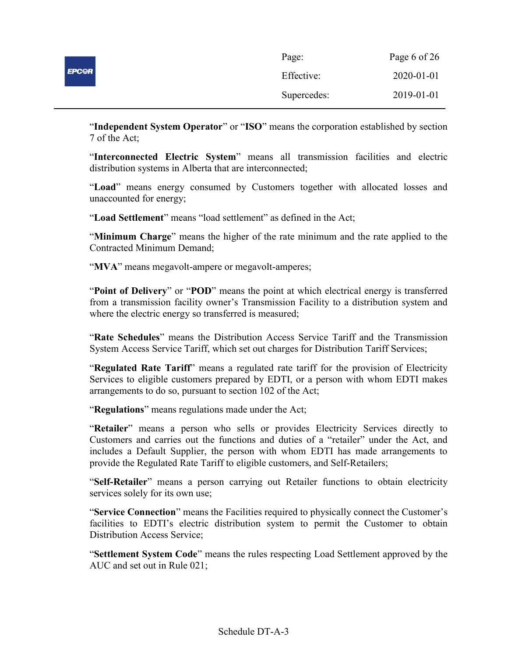|              | Page:       | Page 6 of 26 |
|--------------|-------------|--------------|
| <b>EPCOR</b> | Effective:  | 2020-01-01   |
|              | Supercedes: | 2019-01-01   |

"Independent System Operator" or "ISO" means the corporation established by section 7 of the Act;

"Interconnected Electric System" means all transmission facilities and electric distribution systems in Alberta that are interconnected;

"Load" means energy consumed by Customers together with allocated losses and unaccounted for energy;

"Load Settlement" means "load settlement" as defined in the Act;

"Minimum Charge" means the higher of the rate minimum and the rate applied to the Contracted Minimum Demand;

"MVA" means megavolt-ampere or megavolt-amperes;

"Point of Delivery" or "POD" means the point at which electrical energy is transferred from a transmission facility owner's Transmission Facility to a distribution system and where the electric energy so transferred is measured;

"Rate Schedules" means the Distribution Access Service Tariff and the Transmission System Access Service Tariff, which set out charges for Distribution Tariff Services;

"Regulated Rate Tariff" means a regulated rate tariff for the provision of Electricity Services to eligible customers prepared by EDTI, or a person with whom EDTI makes arrangements to do so, pursuant to section 102 of the Act;

"Regulations" means regulations made under the Act;

"Retailer" means a person who sells or provides Electricity Services directly to Customers and carries out the functions and duties of a "retailer" under the Act, and includes a Default Supplier, the person with whom EDTI has made arrangements to provide the Regulated Rate Tariff to eligible customers, and Self-Retailers;

"Self-Retailer" means a person carrying out Retailer functions to obtain electricity services solely for its own use;

"Service Connection" means the Facilities required to physically connect the Customer's facilities to EDTI's electric distribution system to permit the Customer to obtain Distribution Access Service;

"Settlement System Code" means the rules respecting Load Settlement approved by the AUC and set out in Rule 021;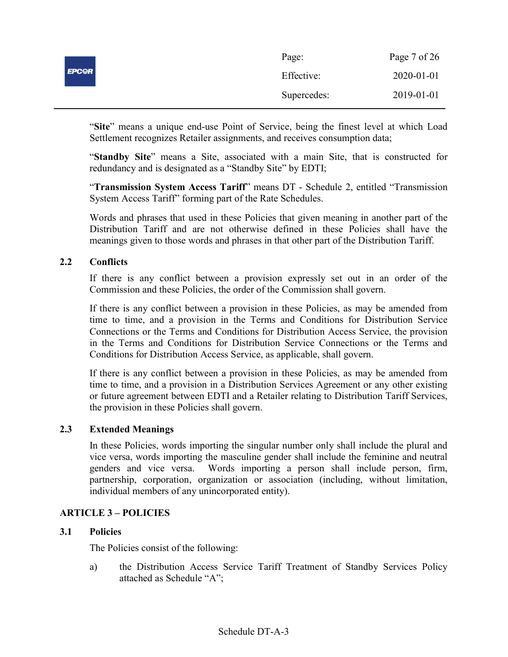|              | Page:       | Page 7 of 26 |
|--------------|-------------|--------------|
| <b>EPCOR</b> | Effective:  | 2020-01-01   |
|              | Supercedes: | 2019-01-01   |

"Site" means a unique end-use Point of Service, being the finest level at which Load Settlement recognizes Retailer assignments, and receives consumption data;

"Standby Site" means a Site, associated with a main Site, that is constructed for redundancy and is designated as a "Standby Site" by EDTI;

"Transmission System Access Tariff" means DT - Schedule 2, entitled "Transmission System Access Tariff" forming part of the Rate Schedules.

Words and phrases that used in these Policies that given meaning in another part of the Distribution Tariff and are not otherwise defined in these Policies shall have the meanings given to those words and phrases in that other part of the Distribution Tariff.

# 2.2 Conflicts

If there is any conflict between a provision expressly set out in an order of the Commission and these Policies, the order of the Commission shall govern.

If there is any conflict between a provision in these Policies, as may be amended from time to time, and a provision in the Terms and Conditions for Distribution Service Connections or the Terms and Conditions for Distribution Access Service, the provision in the Terms and Conditions for Distribution Service Connections or the Terms and Conditions for Distribution Access Service, as applicable, shall govern.

If there is any conflict between a provision in these Policies, as may be amended from time to time, and a provision in a Distribution Services Agreement or any other existing or future agreement between EDTI and a Retailer relating to Distribution Tariff Services, the provision in these Policies shall govern.

# 2.3 Extended Meanings

In these Policies, words importing the singular number only shall include the plural and vice versa, words importing the masculine gender shall include the feminine and neutral genders and vice versa. Words importing a person shall include person, firm, partnership, corporation, organization or association (including, without limitation, individual members of any unincorporated entity).

# ARTICLE 3 – POLICIES

#### 3.1 Policies

The Policies consist of the following:

a) the Distribution Access Service Tariff Treatment of Standby Services Policy attached as Schedule "A";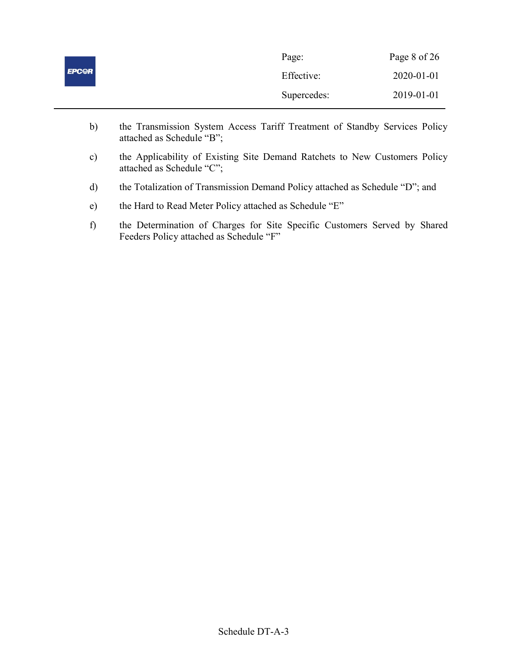|              | Page:       | Page 8 of 26 |
|--------------|-------------|--------------|
| <b>EPCOR</b> | Effective:  | 2020-01-01   |
|              | Supercedes: | 2019-01-01   |

- b) the Transmission System Access Tariff Treatment of Standby Services Policy attached as Schedule "B";
- c) the Applicability of Existing Site Demand Ratchets to New Customers Policy attached as Schedule "C";
- d) the Totalization of Transmission Demand Policy attached as Schedule "D"; and
- e) the Hard to Read Meter Policy attached as Schedule "E"
- f) the Determination of Charges for Site Specific Customers Served by Shared Feeders Policy attached as Schedule "F"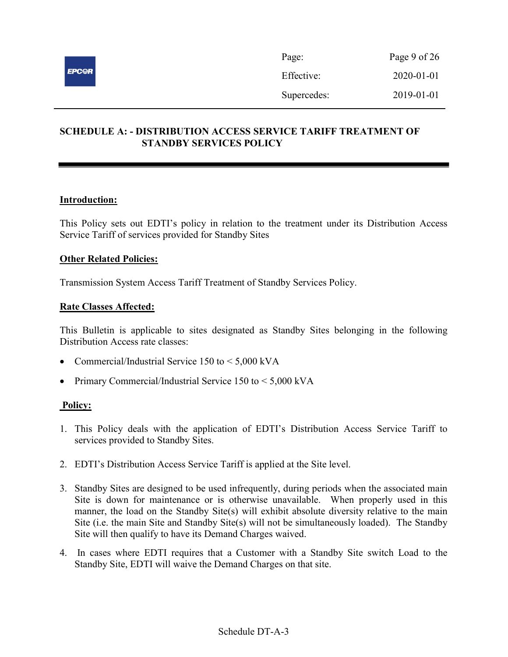

# SCHEDULE A: - DISTRIBUTION ACCESS SERVICE TARIFF TREATMENT OF STANDBY SERVICES POLICY

# Introduction:

This Policy sets out EDTI's policy in relation to the treatment under its Distribution Access Service Tariff of services provided for Standby Sites

# Other Related Policies:

Transmission System Access Tariff Treatment of Standby Services Policy.

# Rate Classes Affected:

This Bulletin is applicable to sites designated as Standby Sites belonging in the following Distribution Access rate classes:

- Commercial/Industrial Service 150 to < 5,000 kVA
- Primary Commercial/Industrial Service 150 to < 5,000 kVA

- 1. This Policy deals with the application of EDTI's Distribution Access Service Tariff to services provided to Standby Sites.
- 2. EDTI's Distribution Access Service Tariff is applied at the Site level.
- 3. Standby Sites are designed to be used infrequently, during periods when the associated main Site is down for maintenance or is otherwise unavailable. When properly used in this manner, the load on the Standby Site(s) will exhibit absolute diversity relative to the main Site (i.e. the main Site and Standby Site(s) will not be simultaneously loaded). The Standby Site will then qualify to have its Demand Charges waived.
- 4. In cases where EDTI requires that a Customer with a Standby Site switch Load to the Standby Site, EDTI will waive the Demand Charges on that site.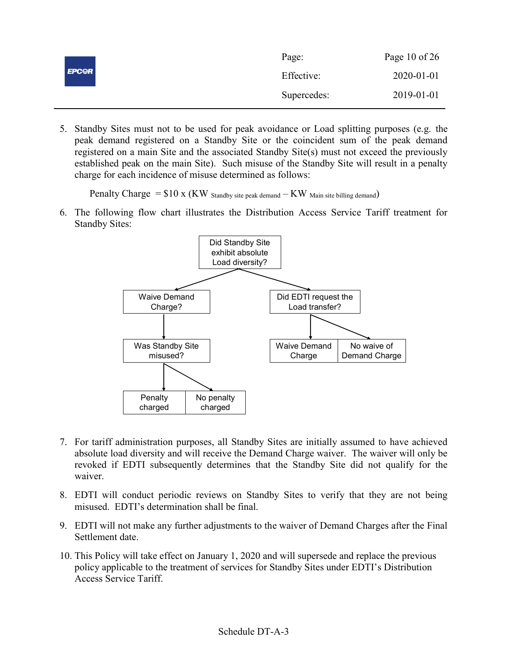|              | Page:       | Page 10 of $26$ |
|--------------|-------------|-----------------|
| <b>EPCOR</b> | Effective:  | 2020-01-01      |
|              | Supercedes: | 2019-01-01      |

5. Standby Sites must not to be used for peak avoidance or Load splitting purposes (e.g. the peak demand registered on a Standby Site or the coincident sum of the peak demand registered on a main Site and the associated Standby Site(s) must not exceed the previously established peak on the main Site). Such misuse of the Standby Site will result in a penalty charge for each incidence of misuse determined as follows:

Penalty Charge  $= $10 \times (KW)$  Standby site peak demand  $-KW$  Main site billing demand)

6. The following flow chart illustrates the Distribution Access Service Tariff treatment for Standby Sites:



- 7. For tariff administration purposes, all Standby Sites are initially assumed to have achieved absolute load diversity and will receive the Demand Charge waiver. The waiver will only be revoked if EDTI subsequently determines that the Standby Site did not qualify for the waiver.
- 8. EDTI will conduct periodic reviews on Standby Sites to verify that they are not being misused. EDTI's determination shall be final.
- 9. EDTI will not make any further adjustments to the waiver of Demand Charges after the Final Settlement date.
- 10. This Policy will take effect on January 1, 2020 and will supersede and replace the previous policy applicable to the treatment of services for Standby Sites under EDTI's Distribution Access Service Tariff.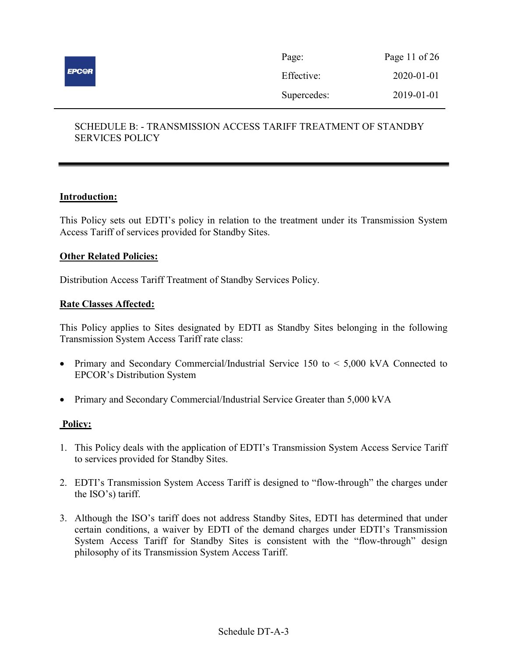

# SCHEDULE B: - TRANSMISSION ACCESS TARIFF TREATMENT OF STANDBY SERVICES POLICY

# Introduction:

This Policy sets out EDTI's policy in relation to the treatment under its Transmission System Access Tariff of services provided for Standby Sites.

### Other Related Policies:

Distribution Access Tariff Treatment of Standby Services Policy.

### Rate Classes Affected:

This Policy applies to Sites designated by EDTI as Standby Sites belonging in the following Transmission System Access Tariff rate class:

- Primary and Secondary Commercial/Industrial Service 150 to < 5,000 kVA Connected to EPCOR's Distribution System
- Primary and Secondary Commercial/Industrial Service Greater than 5,000 kVA

- 1. This Policy deals with the application of EDTI's Transmission System Access Service Tariff to services provided for Standby Sites.
- 2. EDTI's Transmission System Access Tariff is designed to "flow-through" the charges under the ISO's) tariff.
- 3. Although the ISO's tariff does not address Standby Sites, EDTI has determined that under certain conditions, a waiver by EDTI of the demand charges under EDTI's Transmission System Access Tariff for Standby Sites is consistent with the "flow-through" design philosophy of its Transmission System Access Tariff.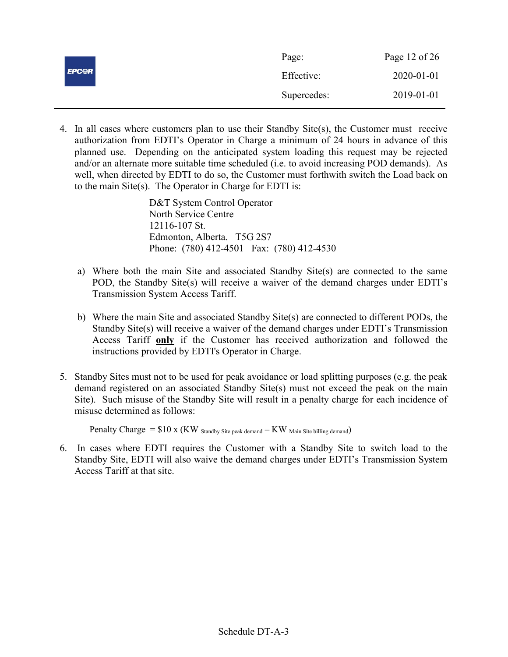|              | Page:       | Page 12 of 26 |
|--------------|-------------|---------------|
| <b>EPCOR</b> | Effective:  | 2020-01-01    |
|              | Supercedes: | 2019-01-01    |

4. In all cases where customers plan to use their Standby Site(s), the Customer must receive authorization from EDTI's Operator in Charge a minimum of 24 hours in advance of this planned use. Depending on the anticipated system loading this request may be rejected and/or an alternate more suitable time scheduled (i.e. to avoid increasing POD demands). As well, when directed by EDTI to do so, the Customer must forthwith switch the Load back on to the main Site(s). The Operator in Charge for EDTI is:

> D&T System Control Operator North Service Centre 12116-107 St. Edmonton, Alberta. T5G 2S7 Phone: (780) 412-4501 Fax: (780) 412-4530

- a) Where both the main Site and associated Standby Site(s) are connected to the same POD, the Standby Site(s) will receive a waiver of the demand charges under EDTI's Transmission System Access Tariff.
- b) Where the main Site and associated Standby Site(s) are connected to different PODs, the Standby Site(s) will receive a waiver of the demand charges under EDTI's Transmission Access Tariff only if the Customer has received authorization and followed the instructions provided by EDTI's Operator in Charge.
- 5. Standby Sites must not to be used for peak avoidance or load splitting purposes (e.g. the peak demand registered on an associated Standby Site(s) must not exceed the peak on the main Site). Such misuse of the Standby Site will result in a penalty charge for each incidence of misuse determined as follows:

Penalty Charge  $= $10 \times (KW)$  Standby Site peak demand  $-KW$  Main Site billing demand)

6. In cases where EDTI requires the Customer with a Standby Site to switch load to the Standby Site, EDTI will also waive the demand charges under EDTI's Transmission System Access Tariff at that site.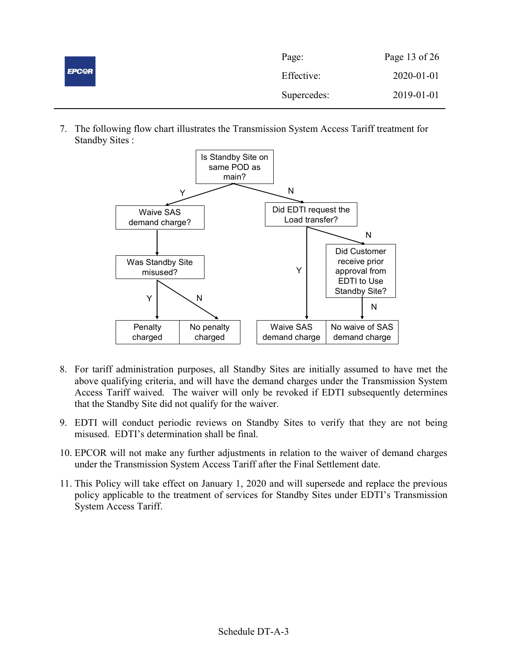|              | Page:       | Page 13 of 26 |
|--------------|-------------|---------------|
| <b>EPCOR</b> | Effective:  | 2020-01-01    |
|              | Supercedes: | 2019-01-01    |

7. The following flow chart illustrates the Transmission System Access Tariff treatment for Standby Sites :



- 8. For tariff administration purposes, all Standby Sites are initially assumed to have met the above qualifying criteria, and will have the demand charges under the Transmission System Access Tariff waived. The waiver will only be revoked if EDTI subsequently determines that the Standby Site did not qualify for the waiver.
- 9. EDTI will conduct periodic reviews on Standby Sites to verify that they are not being misused. EDTI's determination shall be final.
- 10. EPCOR will not make any further adjustments in relation to the waiver of demand charges under the Transmission System Access Tariff after the Final Settlement date.
- 11. This Policy will take effect on January 1, 2020 and will supersede and replace the previous policy applicable to the treatment of services for Standby Sites under EDTI's Transmission System Access Tariff.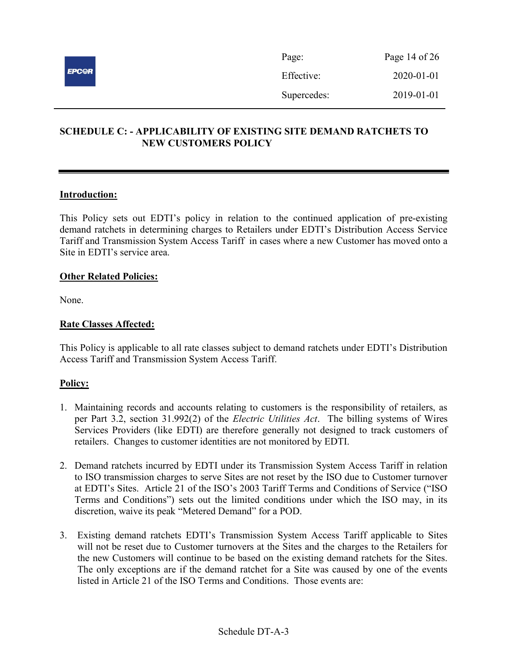

# SCHEDULE C: - APPLICABILITY OF EXISTING SITE DEMAND RATCHETS TO NEW CUSTOMERS POLICY

# Introduction:

This Policy sets out EDTI's policy in relation to the continued application of pre-existing demand ratchets in determining charges to Retailers under EDTI's Distribution Access Service Tariff and Transmission System Access Tariff in cases where a new Customer has moved onto a Site in EDTI's service area.

# **Other Related Policies:**

None.

# Rate Classes Affected:

This Policy is applicable to all rate classes subject to demand ratchets under EDTI's Distribution Access Tariff and Transmission System Access Tariff.

- 1. Maintaining records and accounts relating to customers is the responsibility of retailers, as per Part 3.2, section 31.992(2) of the *Electric Utilities Act*. The billing systems of Wires Services Providers (like EDTI) are therefore generally not designed to track customers of retailers. Changes to customer identities are not monitored by EDTI.
- 2. Demand ratchets incurred by EDTI under its Transmission System Access Tariff in relation to ISO transmission charges to serve Sites are not reset by the ISO due to Customer turnover at EDTI's Sites. Article 21 of the ISO's 2003 Tariff Terms and Conditions of Service ("ISO Terms and Conditions") sets out the limited conditions under which the ISO may, in its discretion, waive its peak "Metered Demand" for a POD.
- 3. Existing demand ratchets EDTI's Transmission System Access Tariff applicable to Sites will not be reset due to Customer turnovers at the Sites and the charges to the Retailers for the new Customers will continue to be based on the existing demand ratchets for the Sites. The only exceptions are if the demand ratchet for a Site was caused by one of the events listed in Article 21 of the ISO Terms and Conditions. Those events are: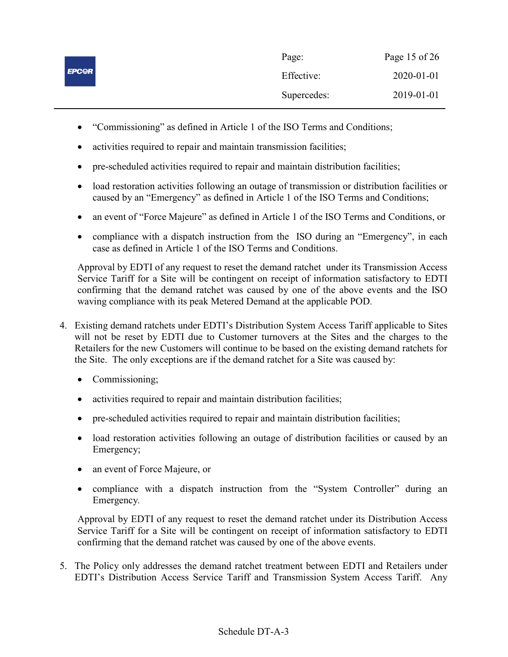|              | Page:       | Page 15 of 26 |
|--------------|-------------|---------------|
| <b>EPCOR</b> | Effective:  | 2020-01-01    |
|              | Supercedes: | 2019-01-01    |

- "Commissioning" as defined in Article 1 of the ISO Terms and Conditions;
- activities required to repair and maintain transmission facilities;
- pre-scheduled activities required to repair and maintain distribution facilities;
- load restoration activities following an outage of transmission or distribution facilities or caused by an "Emergency" as defined in Article 1 of the ISO Terms and Conditions;
- an event of "Force Majeure" as defined in Article 1 of the ISO Terms and Conditions, or
- compliance with a dispatch instruction from the ISO during an "Emergency", in each case as defined in Article 1 of the ISO Terms and Conditions.

Approval by EDTI of any request to reset the demand ratchet under its Transmission Access Service Tariff for a Site will be contingent on receipt of information satisfactory to EDTI confirming that the demand ratchet was caused by one of the above events and the ISO waving compliance with its peak Metered Demand at the applicable POD.

- 4. Existing demand ratchets under EDTI's Distribution System Access Tariff applicable to Sites will not be reset by EDTI due to Customer turnovers at the Sites and the charges to the Retailers for the new Customers will continue to be based on the existing demand ratchets for the Site. The only exceptions are if the demand ratchet for a Site was caused by:
	- Commissioning;
	- activities required to repair and maintain distribution facilities;
	- pre-scheduled activities required to repair and maintain distribution facilities;
	- load restoration activities following an outage of distribution facilities or caused by an Emergency;
	- an event of Force Majeure, or
	- compliance with a dispatch instruction from the "System Controller" during an Emergency.

Approval by EDTI of any request to reset the demand ratchet under its Distribution Access Service Tariff for a Site will be contingent on receipt of information satisfactory to EDTI confirming that the demand ratchet was caused by one of the above events.

5. The Policy only addresses the demand ratchet treatment between EDTI and Retailers under EDTI's Distribution Access Service Tariff and Transmission System Access Tariff. Any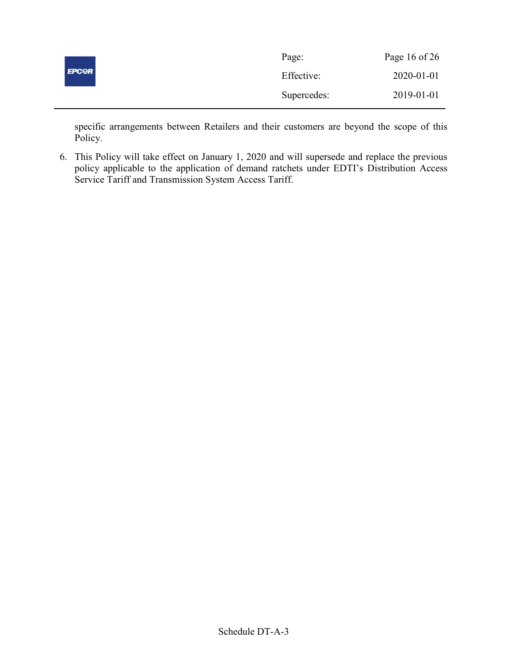|              | Page:       | Page 16 of 26 |
|--------------|-------------|---------------|
| <b>EPCOR</b> | Effective:  | 2020-01-01    |
|              | Supercedes: | 2019-01-01    |

specific arrangements between Retailers and their customers are beyond the scope of this Policy.

6. This Policy will take effect on January 1, 2020 and will supersede and replace the previous policy applicable to the application of demand ratchets under EDTI's Distribution Access Service Tariff and Transmission System Access Tariff.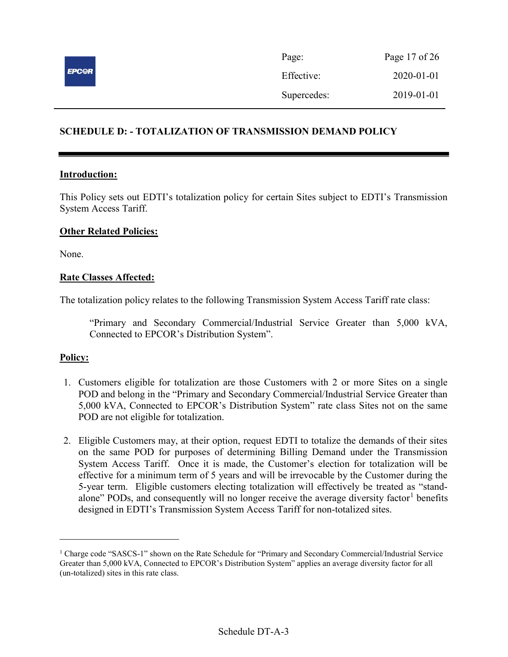

| Page:       | Page 17 of 26 |
|-------------|---------------|
| Effective:  | 2020-01-01    |
| Supercedes: | 2019-01-01    |

# SCHEDULE D: - TOTALIZATION OF TRANSMISSION DEMAND POLICY

### Introduction:

This Policy sets out EDTI's totalization policy for certain Sites subject to EDTI's Transmission System Access Tariff.

### Other Related Policies:

None.

# Rate Classes Affected:

The totalization policy relates to the following Transmission System Access Tariff rate class:

"Primary and Secondary Commercial/Industrial Service Greater than 5,000 kVA, Connected to EPCOR's Distribution System".

#### Policy:

 $\overline{a}$ 

- 1. Customers eligible for totalization are those Customers with 2 or more Sites on a single POD and belong in the "Primary and Secondary Commercial/Industrial Service Greater than 5,000 kVA, Connected to EPCOR's Distribution System" rate class Sites not on the same POD are not eligible for totalization.
- 2. Eligible Customers may, at their option, request EDTI to totalize the demands of their sites on the same POD for purposes of determining Billing Demand under the Transmission System Access Tariff. Once it is made, the Customer's election for totalization will be effective for a minimum term of 5 years and will be irrevocable by the Customer during the 5-year term. Eligible customers electing totalization will effectively be treated as "standalone" PODs, and consequently will no longer receive the average diversity factor<sup>1</sup> benefits designed in EDTI's Transmission System Access Tariff for non-totalized sites.

<sup>&</sup>lt;sup>1</sup> Charge code "SASCS-1" shown on the Rate Schedule for "Primary and Secondary Commercial/Industrial Service Greater than 5,000 kVA, Connected to EPCOR's Distribution System" applies an average diversity factor for all (un-totalized) sites in this rate class.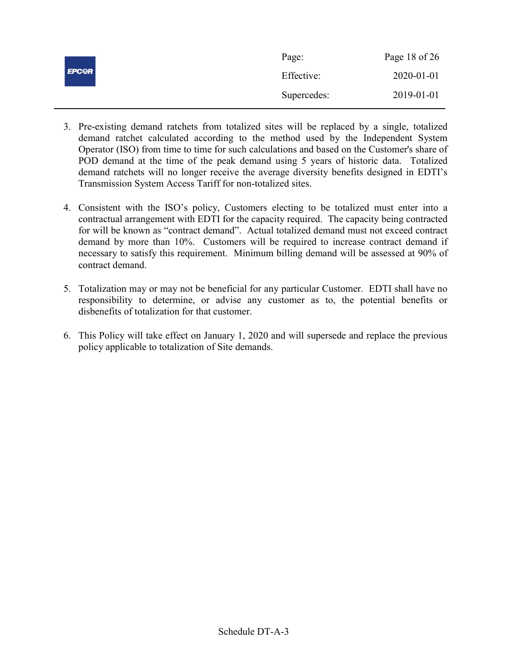|              | Page:       | Page 18 of $26$ |
|--------------|-------------|-----------------|
| <b>EPCOR</b> | Effective:  | 2020-01-01      |
|              | Supercedes: | 2019-01-01      |

- 3. Pre-existing demand ratchets from totalized sites will be replaced by a single, totalized demand ratchet calculated according to the method used by the Independent System Operator (ISO) from time to time for such calculations and based on the Customer's share of POD demand at the time of the peak demand using 5 years of historic data. Totalized demand ratchets will no longer receive the average diversity benefits designed in EDTI's Transmission System Access Tariff for non-totalized sites.
- 4. Consistent with the ISO's policy, Customers electing to be totalized must enter into a contractual arrangement with EDTI for the capacity required. The capacity being contracted for will be known as "contract demand". Actual totalized demand must not exceed contract demand by more than 10%. Customers will be required to increase contract demand if necessary to satisfy this requirement. Minimum billing demand will be assessed at 90% of contract demand.
- 5. Totalization may or may not be beneficial for any particular Customer. EDTI shall have no responsibility to determine, or advise any customer as to, the potential benefits or disbenefits of totalization for that customer.
- 6. This Policy will take effect on January 1, 2020 and will supersede and replace the previous policy applicable to totalization of Site demands.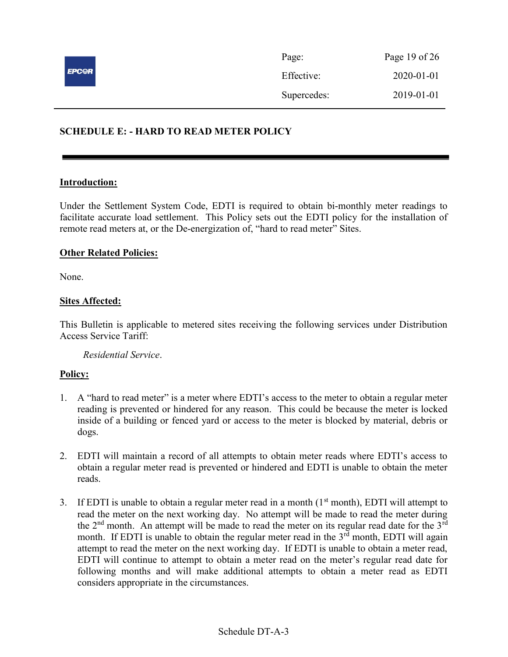

# SCHEDULE E: - HARD TO READ METER POLICY

#### Introduction:

Under the Settlement System Code, EDTI is required to obtain bi-monthly meter readings to facilitate accurate load settlement. This Policy sets out the EDTI policy for the installation of remote read meters at, or the De-energization of, "hard to read meter" Sites.

### Other Related Policies:

None.

# **Sites Affected:**

This Bulletin is applicable to metered sites receiving the following services under Distribution Access Service Tariff:

Residential Service.

- 1. A "hard to read meter" is a meter where EDTI's access to the meter to obtain a regular meter reading is prevented or hindered for any reason. This could be because the meter is locked inside of a building or fenced yard or access to the meter is blocked by material, debris or dogs.
- 2. EDTI will maintain a record of all attempts to obtain meter reads where EDTI's access to obtain a regular meter read is prevented or hindered and EDTI is unable to obtain the meter reads.
- 3. If EDTI is unable to obtain a regular meter read in a month  $(1<sup>st</sup>$  month), EDTI will attempt to read the meter on the next working day. No attempt will be made to read the meter during the  $2<sup>nd</sup>$  month. An attempt will be made to read the meter on its regular read date for the  $3<sup>rd</sup>$ month. If EDTI is unable to obtain the regular meter read in the  $3<sup>rd</sup>$  month, EDTI will again attempt to read the meter on the next working day. If EDTI is unable to obtain a meter read, EDTI will continue to attempt to obtain a meter read on the meter's regular read date for following months and will make additional attempts to obtain a meter read as EDTI considers appropriate in the circumstances.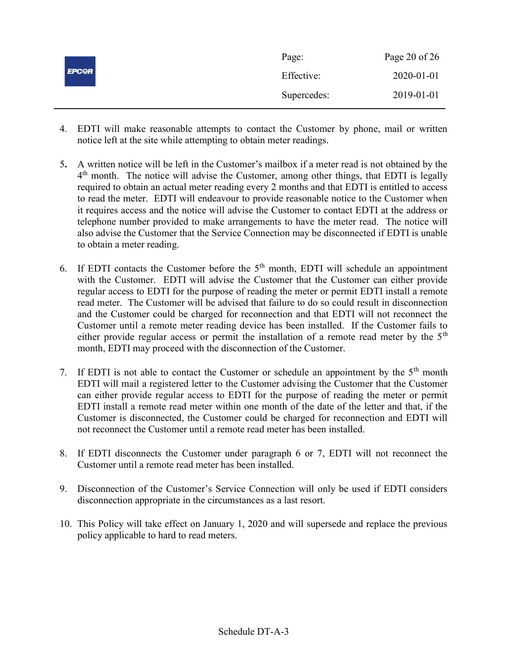|              | Page:       | Page 20 of $26$ |
|--------------|-------------|-----------------|
| <b>EPC@R</b> | Effective:  | 2020-01-01      |
|              | Supercedes: | 2019-01-01      |

- 4. EDTI will make reasonable attempts to contact the Customer by phone, mail or written notice left at the site while attempting to obtain meter readings.
- 5. A written notice will be left in the Customer's mailbox if a meter read is not obtained by the 4<sup>th</sup> month. The notice will advise the Customer, among other things, that EDTI is legally required to obtain an actual meter reading every 2 months and that EDTI is entitled to access to read the meter. EDTI will endeavour to provide reasonable notice to the Customer when it requires access and the notice will advise the Customer to contact EDTI at the address or telephone number provided to make arrangements to have the meter read. The notice will also advise the Customer that the Service Connection may be disconnected if EDTI is unable to obtain a meter reading.
- 6. If EDTI contacts the Customer before the  $5<sup>th</sup>$  month, EDTI will schedule an appointment with the Customer. EDTI will advise the Customer that the Customer can either provide regular access to EDTI for the purpose of reading the meter or permit EDTI install a remote read meter. The Customer will be advised that failure to do so could result in disconnection and the Customer could be charged for reconnection and that EDTI will not reconnect the Customer until a remote meter reading device has been installed. If the Customer fails to either provide regular access or permit the installation of a remote read meter by the  $5<sup>th</sup>$ month, EDTI may proceed with the disconnection of the Customer.
- 7. If EDTI is not able to contact the Customer or schedule an appointment by the  $5<sup>th</sup>$  month EDTI will mail a registered letter to the Customer advising the Customer that the Customer can either provide regular access to EDTI for the purpose of reading the meter or permit EDTI install a remote read meter within one month of the date of the letter and that, if the Customer is disconnected, the Customer could be charged for reconnection and EDTI will not reconnect the Customer until a remote read meter has been installed.
- 8. If EDTI disconnects the Customer under paragraph 6 or 7, EDTI will not reconnect the Customer until a remote read meter has been installed.
- 9. Disconnection of the Customer's Service Connection will only be used if EDTI considers disconnection appropriate in the circumstances as a last resort.
- 10. This Policy will take effect on January 1, 2020 and will supersede and replace the previous policy applicable to hard to read meters.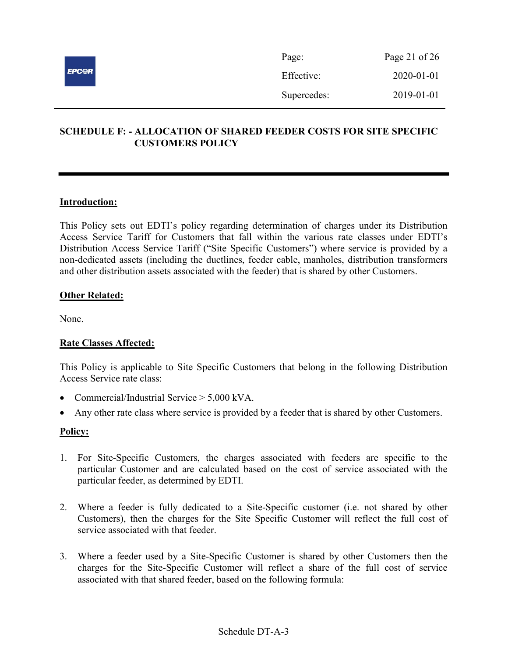

| Page:       | Page 21 of $26$  |
|-------------|------------------|
| Effective:  | $2020 - 01 - 01$ |
| Supercedes: | 2019-01-01       |

# SCHEDULE F: - ALLOCATION OF SHARED FEEDER COSTS FOR SITE SPECIFIC CUSTOMERS POLICY

# Introduction:

This Policy sets out EDTI's policy regarding determination of charges under its Distribution Access Service Tariff for Customers that fall within the various rate classes under EDTI's Distribution Access Service Tariff ("Site Specific Customers") where service is provided by a non-dedicated assets (including the ductlines, feeder cable, manholes, distribution transformers and other distribution assets associated with the feeder) that is shared by other Customers.

# **Other Related:**

None.

# Rate Classes Affected:

This Policy is applicable to Site Specific Customers that belong in the following Distribution Access Service rate class:

- Commercial/Industrial Service  $> 5.000$  kVA.
- Any other rate class where service is provided by a feeder that is shared by other Customers.

- 1. For Site-Specific Customers, the charges associated with feeders are specific to the particular Customer and are calculated based on the cost of service associated with the particular feeder, as determined by EDTI.
- 2. Where a feeder is fully dedicated to a Site-Specific customer (i.e. not shared by other Customers), then the charges for the Site Specific Customer will reflect the full cost of service associated with that feeder.
- 3. Where a feeder used by a Site-Specific Customer is shared by other Customers then the charges for the Site-Specific Customer will reflect a share of the full cost of service associated with that shared feeder, based on the following formula: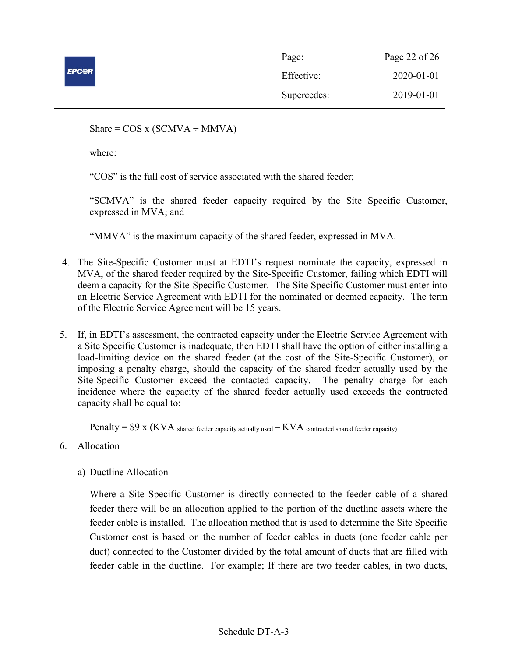

| Page:       | Page 22 of 26 |
|-------------|---------------|
| Effective:  | 2020-01-01    |
| Supercedes: | 2019-01-01    |

Share =  $COS x (SCMVA \div MMVA)$ 

where:

"COS" is the full cost of service associated with the shared feeder;

"SCMVA" is the shared feeder capacity required by the Site Specific Customer, expressed in MVA; and

"MMVA" is the maximum capacity of the shared feeder, expressed in MVA.

- 4. The Site-Specific Customer must at EDTI's request nominate the capacity, expressed in MVA, of the shared feeder required by the Site-Specific Customer, failing which EDTI will deem a capacity for the Site-Specific Customer. The Site Specific Customer must enter into an Electric Service Agreement with EDTI for the nominated or deemed capacity. The term of the Electric Service Agreement will be 15 years.
- 5. If, in EDTI's assessment, the contracted capacity under the Electric Service Agreement with a Site Specific Customer is inadequate, then EDTI shall have the option of either installing a load-limiting device on the shared feeder (at the cost of the Site-Specific Customer), or imposing a penalty charge, should the capacity of the shared feeder actually used by the Site-Specific Customer exceed the contacted capacity. The penalty charge for each incidence where the capacity of the shared feeder actually used exceeds the contracted capacity shall be equal to:

Penalty =  $$9 x$  (KVA shared feeder capacity actually used  $-KVA$  contracted shared feeder capacity)

- 6. Allocation
	- a) Ductline Allocation

Where a Site Specific Customer is directly connected to the feeder cable of a shared feeder there will be an allocation applied to the portion of the ductline assets where the feeder cable is installed. The allocation method that is used to determine the Site Specific Customer cost is based on the number of feeder cables in ducts (one feeder cable per duct) connected to the Customer divided by the total amount of ducts that are filled with feeder cable in the ductline. For example; If there are two feeder cables, in two ducts,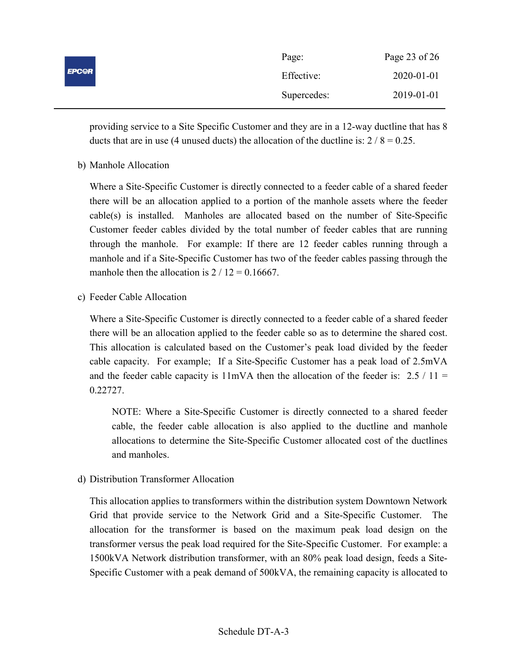|              | Page:       | Page 23 of 26 |
|--------------|-------------|---------------|
| <b>EPC@R</b> | Effective:  | 2020-01-01    |
|              | Supercedes: | 2019-01-01    |

providing service to a Site Specific Customer and they are in a 12-way ductline that has 8 ducts that are in use (4 unused ducts) the allocation of the ductline is:  $2 / 8 = 0.25$ .

b) Manhole Allocation

Where a Site-Specific Customer is directly connected to a feeder cable of a shared feeder there will be an allocation applied to a portion of the manhole assets where the feeder cable(s) is installed. Manholes are allocated based on the number of Site-Specific Customer feeder cables divided by the total number of feeder cables that are running through the manhole. For example: If there are 12 feeder cables running through a manhole and if a Site-Specific Customer has two of the feeder cables passing through the manhole then the allocation is  $2 / 12 = 0.16667$ .

c) Feeder Cable Allocation

Where a Site-Specific Customer is directly connected to a feeder cable of a shared feeder there will be an allocation applied to the feeder cable so as to determine the shared cost. This allocation is calculated based on the Customer's peak load divided by the feeder cable capacity. For example; If a Site-Specific Customer has a peak load of 2.5mVA and the feeder cable capacity is  $11mVA$  then the allocation of the feeder is: 2.5 / 11 = 0.22727.

NOTE: Where a Site-Specific Customer is directly connected to a shared feeder cable, the feeder cable allocation is also applied to the ductline and manhole allocations to determine the Site-Specific Customer allocated cost of the ductlines and manholes.

d) Distribution Transformer Allocation

This allocation applies to transformers within the distribution system Downtown Network Grid that provide service to the Network Grid and a Site-Specific Customer. The allocation for the transformer is based on the maximum peak load design on the transformer versus the peak load required for the Site-Specific Customer. For example: a 1500kVA Network distribution transformer, with an 80% peak load design, feeds a Site-Specific Customer with a peak demand of 500kVA, the remaining capacity is allocated to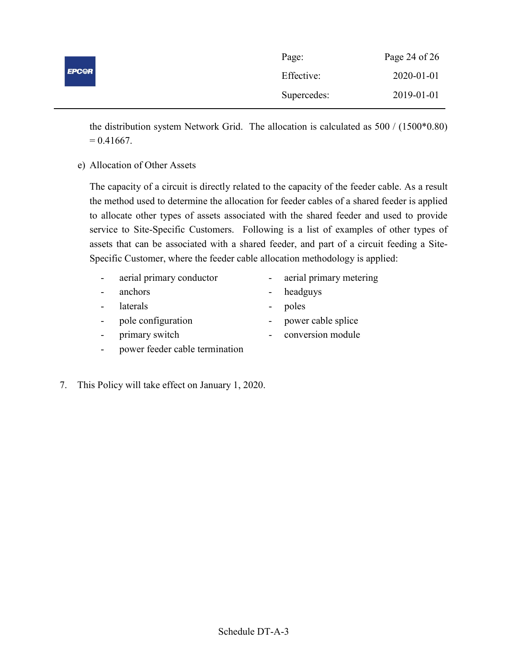|              | Page:       | Page 24 of $26$ |
|--------------|-------------|-----------------|
| <b>EPC@R</b> | Effective:  | 2020-01-01      |
|              | Supercedes: | 2019-01-01      |

the distribution system Network Grid. The allocation is calculated as 500 / (1500\*0.80)  $= 0.41667.$ 

e) Allocation of Other Assets

The capacity of a circuit is directly related to the capacity of the feeder cable. As a result the method used to determine the allocation for feeder cables of a shared feeder is applied to allocate other types of assets associated with the shared feeder and used to provide service to Site-Specific Customers. Following is a list of examples of other types of assets that can be associated with a shared feeder, and part of a circuit feeding a Site-Specific Customer, where the feeder cable allocation methodology is applied:

- aerial primary conductor aerial primary metering
	-
- anchors headguys
	- laterals poles
- 
- 
- pole configuration power cable splice
- primary switch conversion module
- 
- 7. This Policy will take effect on January 1, 2020.

- power feeder cable termination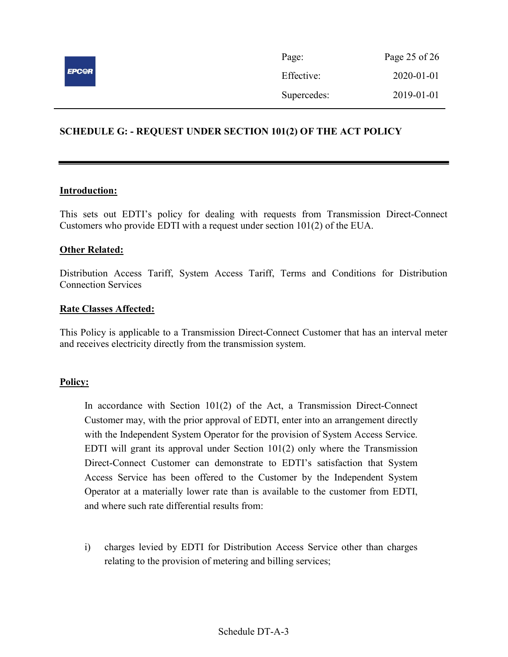

| Page:       | Page 25 of 26    |
|-------------|------------------|
| Effective:  | $2020 - 01 - 01$ |
| Supercedes: | 2019-01-01       |

# SCHEDULE G: - REQUEST UNDER SECTION 101(2) OF THE ACT POLICY

### Introduction:

This sets out EDTI's policy for dealing with requests from Transmission Direct-Connect Customers who provide EDTI with a request under section 101(2) of the EUA.

### Other Related:

Distribution Access Tariff, System Access Tariff, Terms and Conditions for Distribution Connection Services

### Rate Classes Affected:

This Policy is applicable to a Transmission Direct-Connect Customer that has an interval meter and receives electricity directly from the transmission system.

#### Policy:

In accordance with Section 101(2) of the Act, a Transmission Direct-Connect Customer may, with the prior approval of EDTI, enter into an arrangement directly with the Independent System Operator for the provision of System Access Service. EDTI will grant its approval under Section  $101(2)$  only where the Transmission Direct-Connect Customer can demonstrate to EDTI's satisfaction that System Access Service has been offered to the Customer by the Independent System Operator at a materially lower rate than is available to the customer from EDTI, and where such rate differential results from:

i) charges levied by EDTI for Distribution Access Service other than charges relating to the provision of metering and billing services;